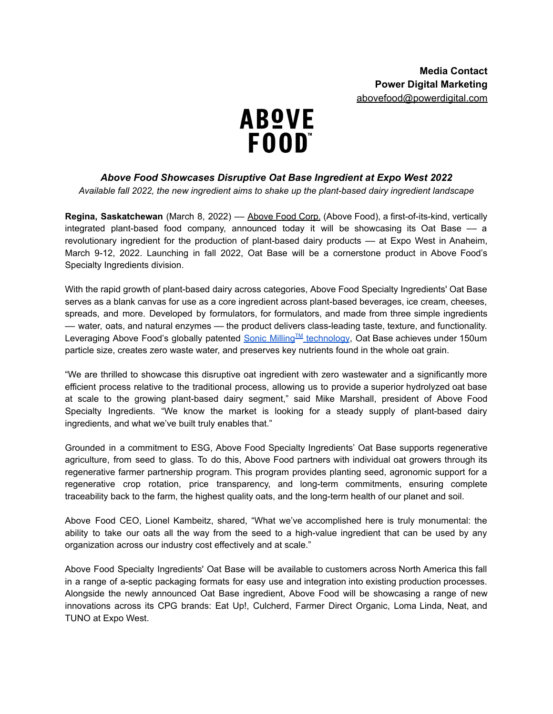

## *Above Food Showcases Disruptive Oat Base Ingredient at Expo West 2022*

*Available fall 2022, the new ingredient aims to shake up the plant-based dairy ingredient landscape*

**Regina, Saskatchewan** (March 8, 2022) –– [Above](https://abovefood.ca/) Food Corp. (Above Food), a first-of-its-kind, vertically integrated plant-based food company, announced today it will be showcasing its Oat Base –– a revolutionary ingredient for the production of plant-based dairy products –– at Expo West in Anaheim, March 9-12, 2022. Launching in fall 2022, Oat Base will be a cornerstone product in Above Food's Specialty Ingredients division.

With the rapid growth of plant-based dairy across categories, Above Food Specialty Ingredients' Oat Base serves as a blank canvas for use as a core ingredient across plant-based beverages, ice cream, cheeses, spreads, and more. Developed by formulators, for formulators, and made from three simple ingredients –– water, oats, and natural enzymes –– the product delivers class-leading taste, texture, and functionality. Leveraging Above Food's globally patented <u>Sonic Milling™ [technology](https://www.prnewswire.com/news-releases/above-food-to-acquire-sonic-milling-systems-a-patented-disruptive-food-technology-for-production-of-oat-based-ingredients-and-dairy-products-301479393.html)</u>, Oat Base achieves under 150um particle size, creates zero waste water, and preserves key nutrients found in the whole oat grain.

"We are thrilled to showcase this disruptive oat ingredient with zero wastewater and a significantly more efficient process relative to the traditional process, allowing us to provide a superior hydrolyzed oat base at scale to the growing plant-based dairy segment," said Mike Marshall, president of Above Food Specialty Ingredients. "We know the market is looking for a steady supply of plant-based dairy ingredients, and what we've built truly enables that."

Grounded in a commitment to ESG, Above Food Specialty Ingredients' Oat Base supports regenerative agriculture, from seed to glass. To do this, Above Food partners with individual oat growers through its regenerative farmer partnership program. This program provides planting seed, agronomic support for a regenerative crop rotation, price transparency, and long-term commitments, ensuring complete traceability back to the farm, the highest quality oats, and the long-term health of our planet and soil.

Above Food CEO, Lionel Kambeitz, shared, "What we've accomplished here is truly monumental: the ability to take our oats all the way from the seed to a high-value ingredient that can be used by any organization across our industry cost effectively and at scale."

Above Food Specialty Ingredients' Oat Base will be available to customers across North America this fall in a range of a-septic packaging formats for easy use and integration into existing production processes. Alongside the newly announced Oat Base ingredient, Above Food will be showcasing a range of new innovations across its CPG brands: Eat Up!, Culcherd, Farmer Direct Organic, Loma Linda, Neat, and TUNO at Expo West.